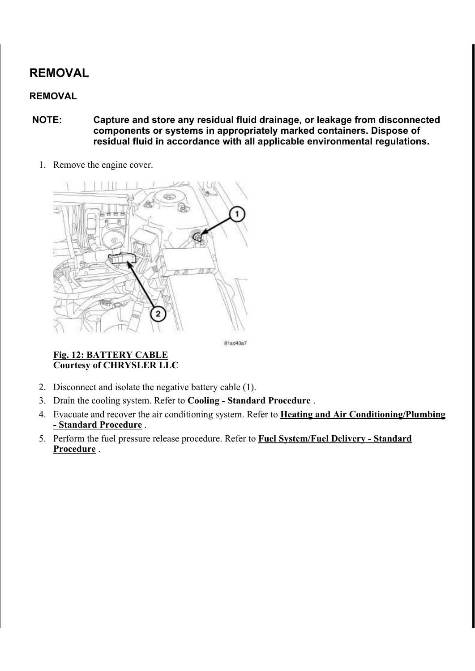# REMOVAL

## REMOVAL

- NOTE: Capture and store any residual fluid drainage, or leakage from disconnected components or systems in appropriately marked containers. Dispose of residual fluid in accordance with all applicable environmental regulations.
	- 1. Remove the engine cover.



81ad43a7

Fig. 12: BATTERY CABLE Courtesy of CHRYSLER LLC

- 2. Disconnect and isolate the negative battery cable (1).
- 3. Drain the cooling system. Refer to Cooling Standard Procedure .
- 4. Evacuate and recover the air conditioning system. Refer to **Heating and Air Conditioning/Plumbing** - Standard Procedure .
- 5. Perform the fuel pressure release procedure. Refer to Fuel System/Fuel Delivery Standard Procedure.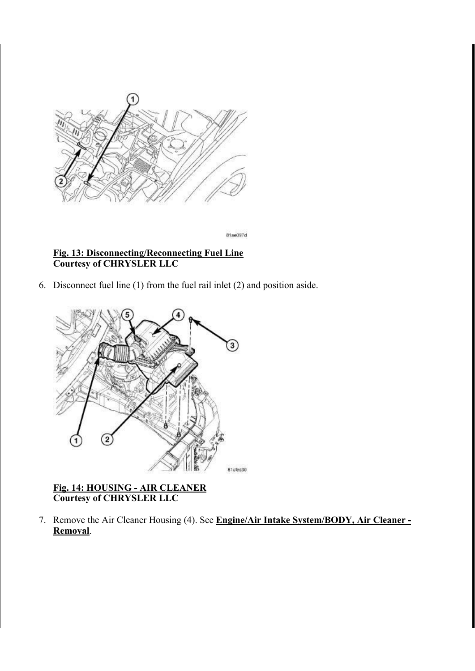

81ae097d

#### Fig. 13: Disconnecting/Reconnecting Fuel Line Courtesy of CHRYSLER LLC

6. Disconnect fuel line (1) from the fuel rail inlet (2) and position aside.



#### Fig. 14: HOUSING - AIR CLEANER Courtesy of CHRYSLER LLC

7. Remove the Air Cleaner Housing (4). See Engine/Air Intake System/BODY, Air Cleaner -Removal.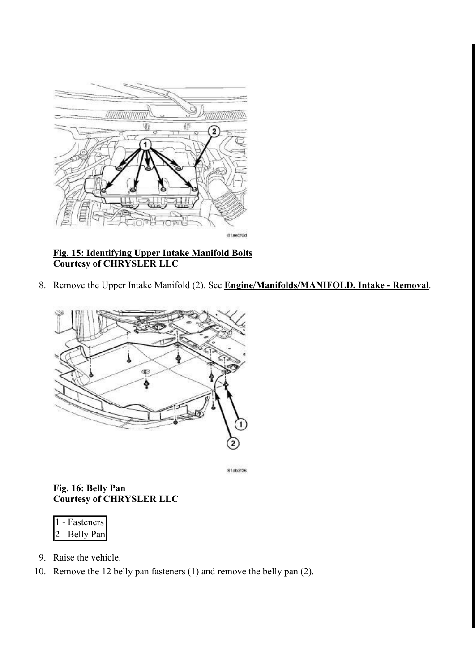

#### Fig. 15: Identifying Upper Intake Manifold Bolts Courtesy of CHRYSLER LLC

8. Remove the Upper Intake Manifold (2). See Engine/Manifolds/MANIFOLD, Intake - Removal.



81eb3f26

#### Fig. 16: Belly Pan Courtesy of CHRYSLER LLC

| $\vert$ 1 | - Fasteners   |
|-----------|---------------|
|           | 2 - Belly Pan |

- 9. Raise the vehicle.
- 10. Remove the 12 belly pan fasteners (1) and remove the belly pan (2).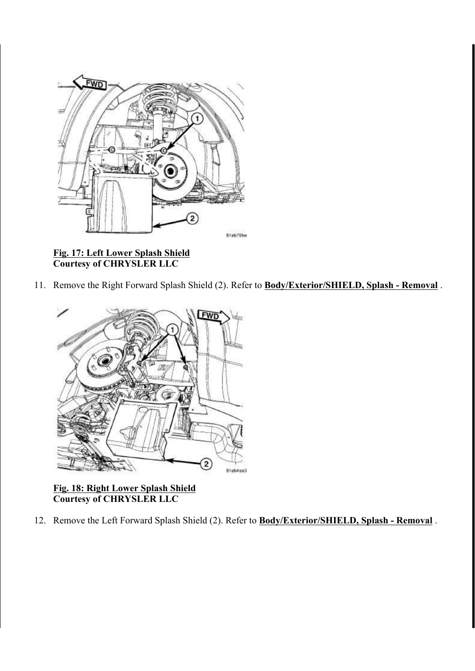

Fig. 17: Left Lower Splash Shield Courtesy of CHRYSLER LLC

11. Remove the Right Forward Splash Shield (2). Refer to **Body/Exterior/SHIELD, Splash - Removal**.



Fig. 18: Right Lower Splash Shield Courtesy of CHRYSLER LLC

12. Remove the Left Forward Splash Shield (2). Refer to **Body/Exterior/SHIELD, Splash - Removal**.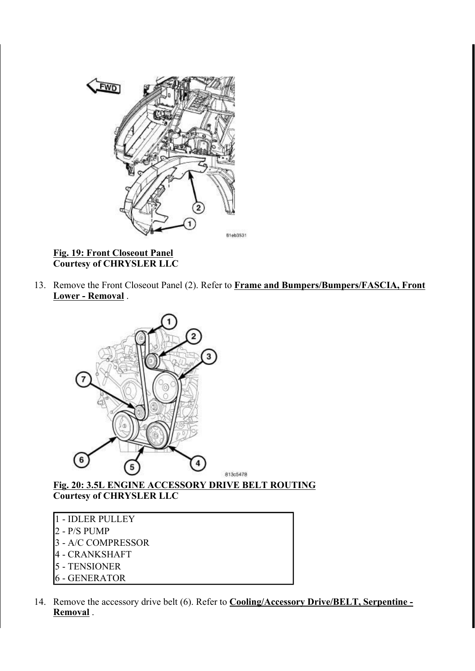

Fig. 19: Front Closeout Panel Courtesy of CHRYSLER LLC

13. Remove the Front Closeout Panel (2). Refer to Frame and Bumpers/Bumpers/FASCIA, Front Lower - Removal .



Fig. 20: 3.5L ENGINE ACCESSORY DRIVE BELT ROUTING Courtesy of CHRYSLER LLC

- 1 IDLER PULLEY 2 - P/S PUMP 3 - A/C COMPRESSOR 4 - CRANKSHAFT 5 - TENSIONER 6 - GENERATOR
- 14. Remove the accessory drive belt (6). Refer to **Cooling/Accessory Drive/BELT**, Serpentine -Removal .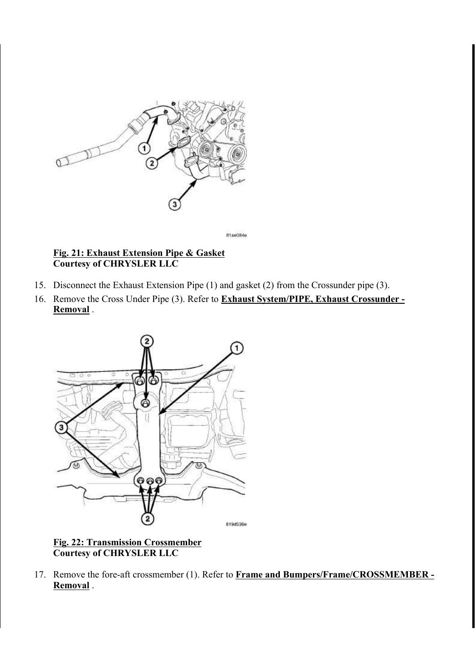

81ae084e

#### Fig. 21: Exhaust Extension Pipe & Gasket Courtesy of CHRYSLER LLC

- 15. Disconnect the Exhaust Extension Pipe (1) and gasket (2) from the Crossunder pipe (3).
- 16. Remove the Cross Under Pipe (3). Refer to **Exhaust System/PIPE, Exhaust Crossunder -**Removal .



Fig. 22: Transmission Crossmember Courtesy of CHRYSLER LLC

17. Remove the fore-aft crossmember (1). Refer to Frame and Bumpers/Frame/CROSSMEMBER -Removal .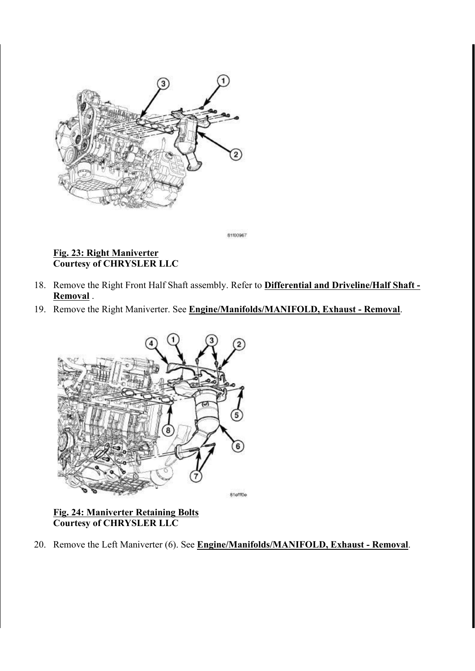

81100967

## Fig. 23: Right Maniverter Courtesy of CHRYSLER LLC

- 18. Remove the Right Front Half Shaft assembly. Refer to **Differential and Driveline/Half Shaft -**Removal .
- 19. Remove the Right Maniverter. See Engine/Manifolds/MANIFOLD, Exhaust Removal.



#### Fig. 24: Maniverter Retaining Bolts Courtesy of CHRYSLER LLC

20. Remove the Left Maniverter (6). See Engine/Manifolds/MANIFOLD, Exhaust - Removal.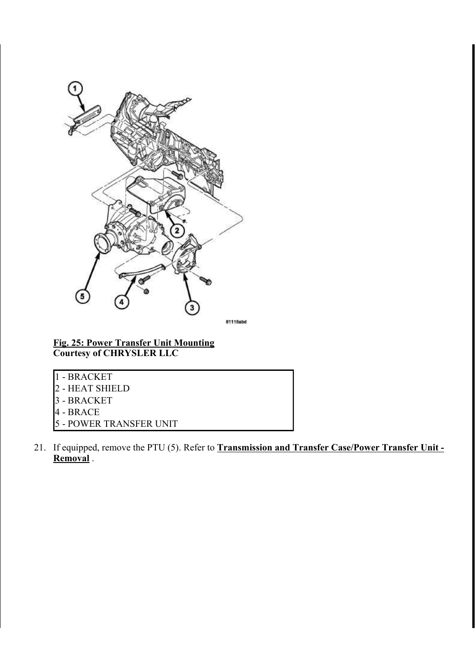

81115abd

Fig. 25: Power Transfer Unit Mounting Courtesy of CHRYSLER LLC

- 1 BRACKET
- 2 HEAT SHIELD
- 3 BRACKET
- 4 BRACE
- 5 POWER TRANSFER UNIT
- 21. If equipped, remove the PTU (5). Refer to **Transmission and Transfer Case/Power Transfer Unit -**Removal .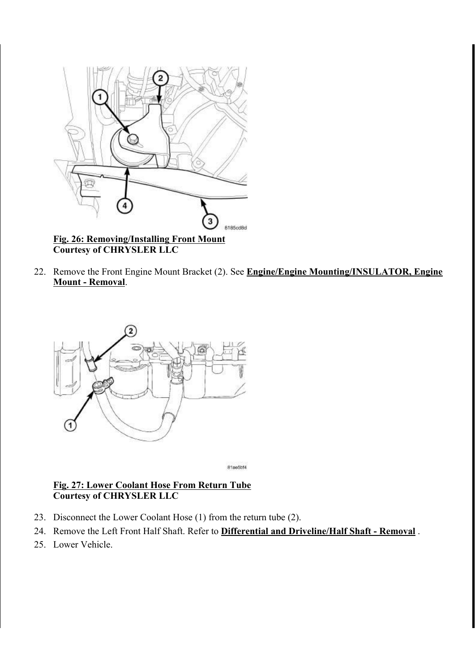

Courtesy of CHRYSLER LLC

22. Remove the Front Engine Mount Bracket (2). See Engine/Engine Mounting/INSULATOR, Engine Mount - Removal.



81ae5bf4

### Fig. 27: Lower Coolant Hose From Return Tube Courtesy of CHRYSLER LLC

- 23. Disconnect the Lower Coolant Hose (1) from the return tube (2).
- 24. Remove the Left Front Half Shaft. Refer to **Differential and Driveline/Half Shaft Removal**.
- 25. Lower Vehicle.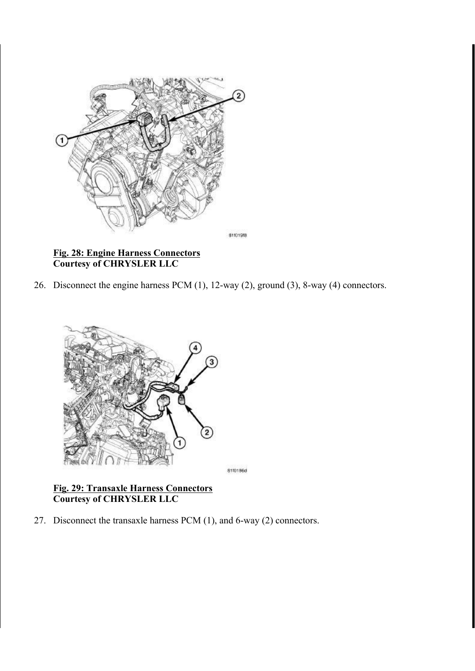

Fig. 28: Engine Harness Connectors Courtesy of CHRYSLER LLC

26. Disconnect the engine harness PCM (1), 12-way (2), ground (3), 8-way (4) connectors.



8110186d

#### Fig. 29: Transaxle Harness Connectors Courtesy of CHRYSLER LLC

27. Disconnect the transaxle harness PCM (1), and 6-way (2) connectors.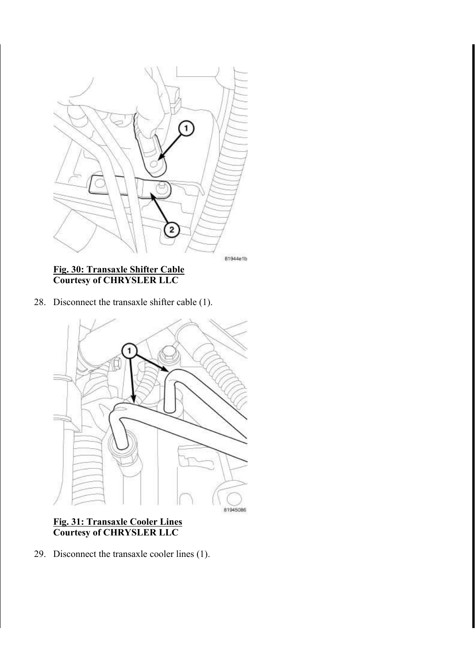

81944e1b

#### Fig. 30: Transaxle Shifter Cable Courtesy of CHRYSLER LLC

28. Disconnect the transaxle shifter cable (1).



#### Fig. 31: Transaxle Cooler Lines Courtesy of CHRYSLER LLC

29. Disconnect the transaxle cooler lines (1).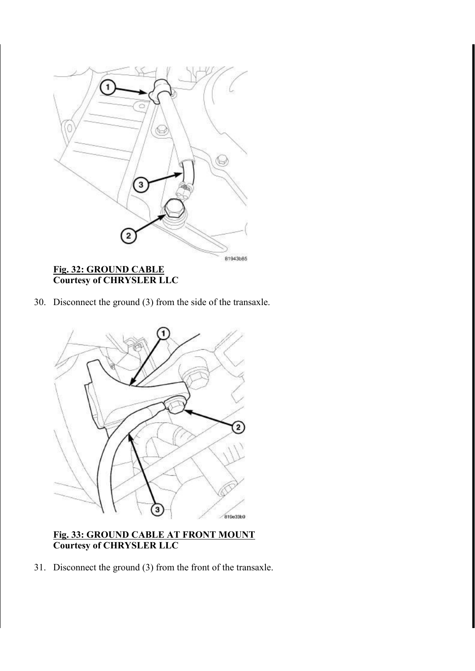

30. Disconnect the ground (3) from the side of the transaxle.



#### Fig. 33: GROUND CABLE AT FRONT MOUNT Courtesy of CHRYSLER LLC

31. Disconnect the ground (3) from the front of the transaxle.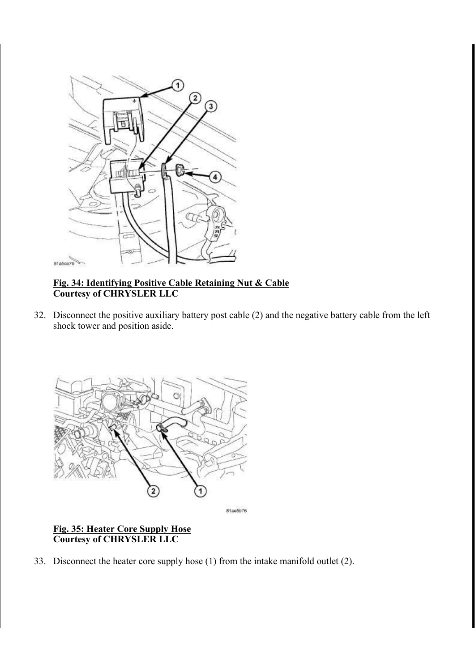

#### Fig. 34: Identifying Positive Cable Retaining Nut & Cable Courtesy of CHRYSLER LLC

32. Disconnect the positive auxiliary battery post cable (2) and the negative battery cable from the left shock tower and position aside.



81ae5b76

## Fig. 35: Heater Core Supply Hose Courtesy of CHRYSLER LLC

33. Disconnect the heater core supply hose (1) from the intake manifold outlet (2).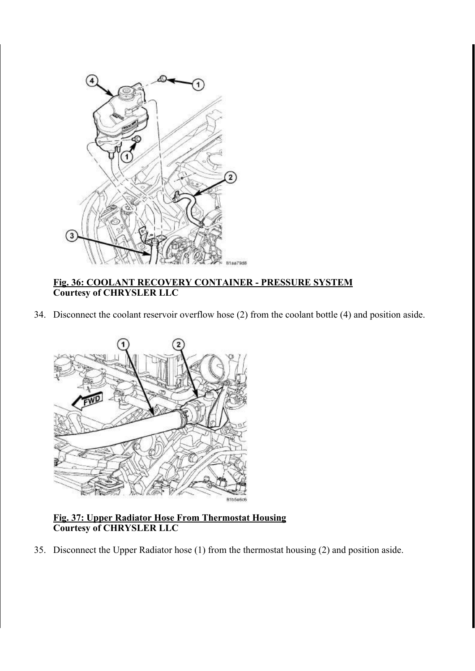

#### Fig. 36: COOLANT RECOVERY CONTAINER - PRESSURE SYSTEM Courtesy of CHRYSLER LLC

34. Disconnect the coolant reservoir overflow hose (2) from the coolant bottle (4) and position aside.



#### Fig. 37: Upper Radiator Hose From Thermostat Housing Courtesy of CHRYSLER LLC

35. Disconnect the Upper Radiator hose (1) from the thermostat housing (2) and position aside.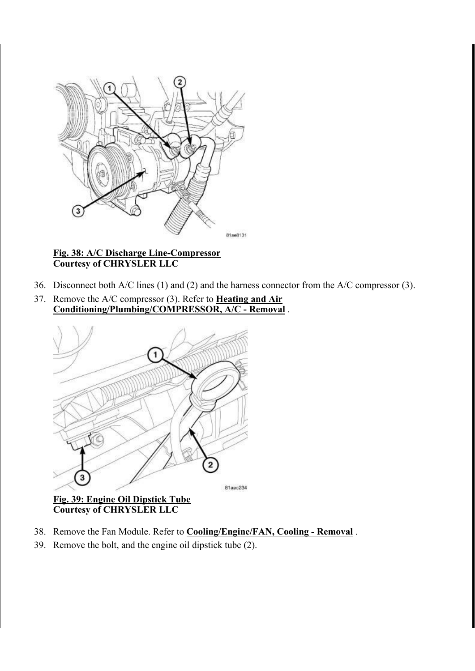

#### Fig. 38: A/C Discharge Line-Compressor Courtesy of CHRYSLER LLC

- 36. Disconnect both A/C lines (1) and (2) and the harness connector from the A/C compressor (3).
- 37. Remove the  $A/C$  compressor (3). Refer to **Heating and Air** Conditioning/Plumbing/COMPRESSOR, A/C - Removal .



Courtesy of CHRYSLER LLC

- 38. Remove the Fan Module. Refer to **Cooling/Engine/FAN, Cooling Removal**.
- 39. Remove the bolt, and the engine oil dipstick tube (2).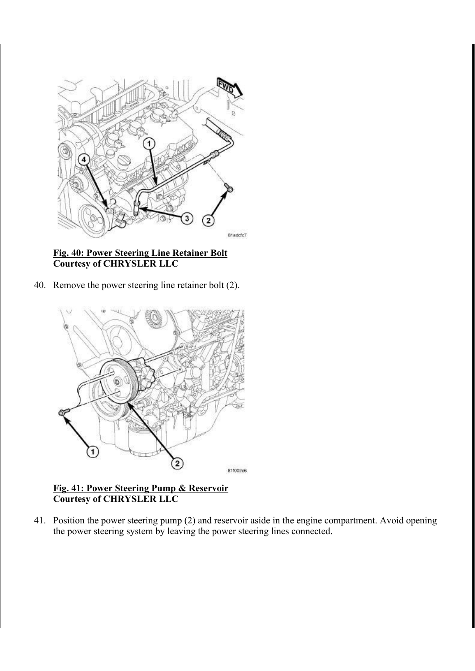

#### Fig. 40: Power Steering Line Retainer Bolt Courtesy of CHRYSLER LLC

40. Remove the power steering line retainer bolt (2).



#### Fig. 41: Power Steering Pump & Reservoir Courtesy of CHRYSLER LLC

41. Position the power steering pump (2) and reservoir aside in the engine compartment. Avoid opening the power steering system by leaving the power steering lines connected.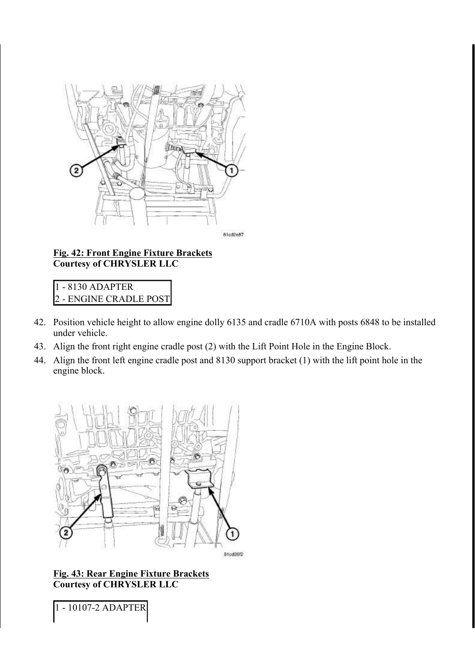

#### Fig. 42: Front Engine Fixture Brackets Courtesy of CHRYSLER LLC

1 - 8130 ADAPTER 2 - ENGINE CRADLE POST

- 42. Position vehicle height to allow engine dolly 6135 and cradle 6710A with posts 6848 to be installed under vehicle.
- 43. Align the front right engine cradle post (2) with the Lift Point Hole in the Engine Block.
- 44. Align the front left engine cradle post and 8130 support bracket (1) with the lift point hole in the engine block.



#### Fig. 43: Rear Engine Fixture Brackets Courtesy of CHRYSLER LLC

1 - 10107-2 ADAPTER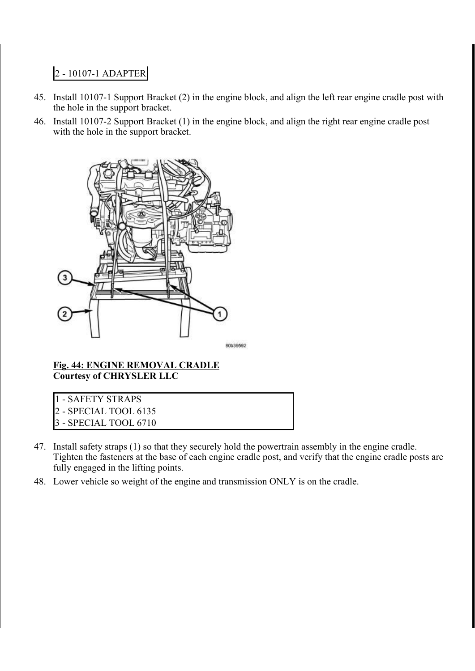## 2 - 10107-1 ADAPTER

- 45. Install 10107-1 Support Bracket (2) in the engine block, and align the left rear engine cradle post with the hole in the support bracket.
- 46. Install 10107-2 Support Bracket (1) in the engine block, and align the right rear engine cradle post with the hole in the support bracket.



80b39592

#### Fig. 44: ENGINE REMOVAL CRADLE Courtesy of CHRYSLER LLC

- 1 SAFETY STRAPS
- 2 SPECIAL TOOL 6135
- 3 SPECIAL TOOL 6710
- 47. Install safety straps (1) so that they securely hold the powertrain assembly in the engine cradle. Tighten the fasteners at the base of each engine cradle post, and verify that the engine cradle posts are fully engaged in the lifting points.
- 48. Lower vehicle so weight of the engine and transmission ONLY is on the cradle.